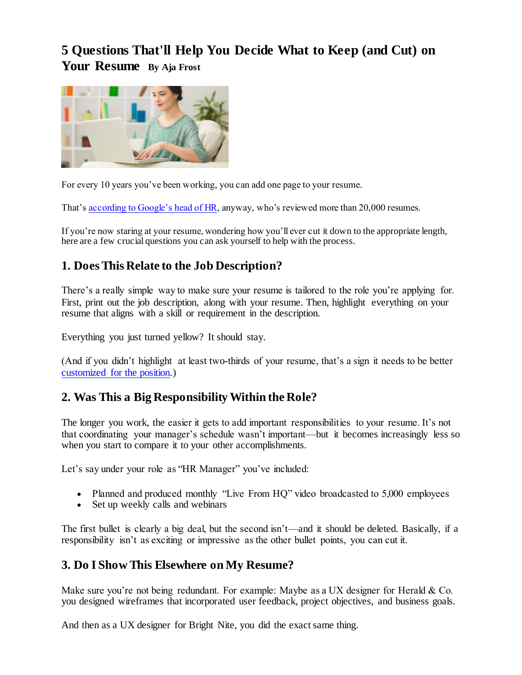# **5 Questions That'll Help You Decide What to Keep (and Cut) on Your Resume By Aja Frost**



For every 10 years you've been working, you can add one page to your resume.

That'[s according to Google's head of HR,](https://www.themuse.com/advice/5-huge-resume-mistakes-googles-head-of-hr-sees-all-the-time) anyway, who's reviewed more than 20,000 resumes.

If you're now staring at your resume, wondering how you'll ever cut it down to the appropriate length, here are a few crucial questions you can ask yourself to help with the process.

# **1. Does This Relate to the Job Description?**

There's a really simple way to make sure your resume is tailored to the role you're applying for. First, print out the job description, along with your resume. Then, highlight everything on your resume that aligns with a skill or requirement in the description.

Everything you just turned yellow? It should stay.

(And if you didn't highlight at least two-thirds of your resume, that's a sign it needs to be better [customized for the position.\)](https://www.themuse.com/advice/what-it-really-means-to-tailor-your-resume)

## **2. Was This a Big Responsibility Within the Role?**

The longer you work, the easier it gets to add important responsibilities to your resume. It's not that coordinating your manager's schedule wasn't important—but it becomes increasingly less so when you start to compare it to your other accomplishments.

Let's say under your role as "HR Manager" you've included:

- Planned and produced monthly "Live From HO" video broadcasted to 5,000 employees
- Set up weekly calls and webinars

The first bullet is clearly a big deal, but the second isn't—and it should be deleted. Basically, if a responsibility isn't as exciting or impressive as the other bullet points, you can cut it.

#### **3. Do I Show This Elsewhere on My Resume?**

Make sure you're not being redundant. For example: Maybe as a UX designer for Herald & Co. you designed wireframes that incorporated user feedback, project objectives, and business goals.

And then as a UX designer for Bright Nite, you did the exact same thing.